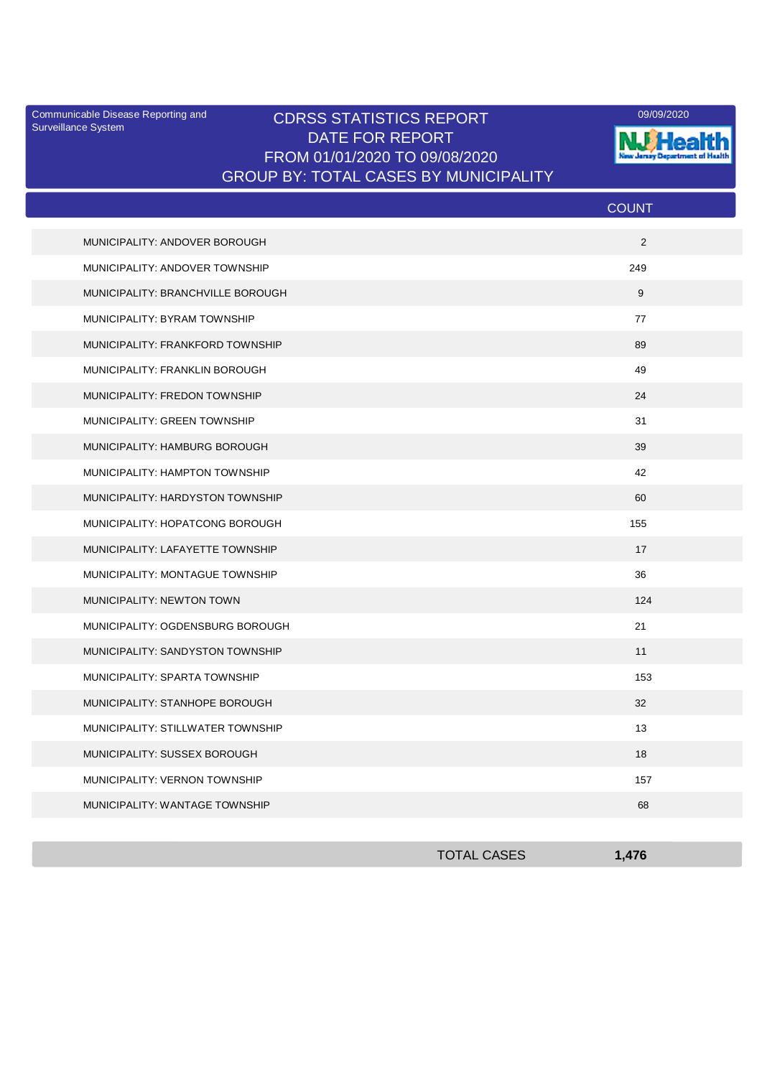Surveillance System

## Communicable Disease Reporting and CDRSS STATISTICS REPORT **COMMUNICAL COMMUNICATION** DATE FOR REPORT FROM 01/01/2020 TO 09/08/2020 GROUP BY: TOTAL CASES BY MUNICIPALITY



|                                   | <b>COUNT</b> |
|-----------------------------------|--------------|
| MUNICIPALITY: ANDOVER BOROUGH     | 2            |
| MUNICIPALITY: ANDOVER TOWNSHIP    | 249          |
| MUNICIPALITY: BRANCHVILLE BOROUGH | 9            |
| MUNICIPALITY: BYRAM TOWNSHIP      | 77           |
| MUNICIPALITY: FRANKFORD TOWNSHIP  | 89           |
| MUNICIPALITY: FRANKLIN BOROUGH    | 49           |
| MUNICIPALITY: FREDON TOWNSHIP     | 24           |
| MUNICIPALITY: GREEN TOWNSHIP      | 31           |
| MUNICIPALITY: HAMBURG BOROUGH     | 39           |
| MUNICIPALITY: HAMPTON TOWNSHIP    | 42           |
| MUNICIPALITY: HARDYSTON TOWNSHIP  | 60           |
| MUNICIPALITY: HOPATCONG BOROUGH   | 155          |
| MUNICIPALITY: LAFAYETTE TOWNSHIP  | 17           |
| MUNICIPALITY: MONTAGUE TOWNSHIP   | 36           |
| MUNICIPALITY: NEWTON TOWN         | 124          |
| MUNICIPALITY: OGDENSBURG BOROUGH  | 21           |
| MUNICIPALITY: SANDYSTON TOWNSHIP  | 11           |
| MUNICIPALITY: SPARTA TOWNSHIP     | 153          |
| MUNICIPALITY: STANHOPE BOROUGH    | 32           |
| MUNICIPALITY: STILLWATER TOWNSHIP | 13           |
| MUNICIPALITY: SUSSEX BOROUGH      | 18           |
| MUNICIPALITY: VERNON TOWNSHIP     | 157          |
| MUNICIPALITY: WANTAGE TOWNSHIP    | 68           |

| <b>TOTAL CASES</b> | 1.47 <sup>°</sup> |
|--------------------|-------------------|
|                    |                   |